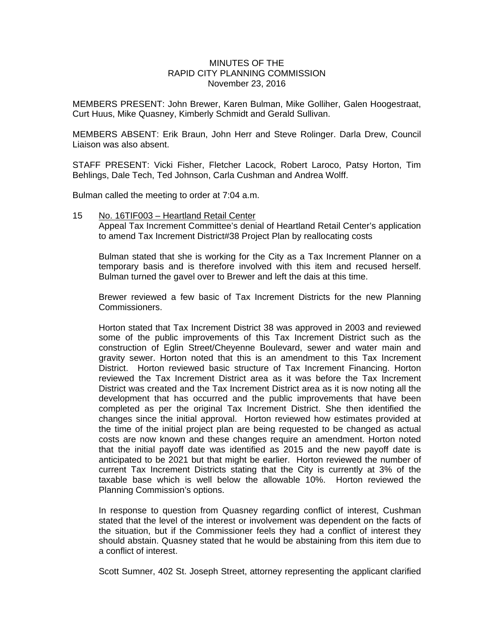## MINUTES OF THE RAPID CITY PLANNING COMMISSION November 23, 2016

MEMBERS PRESENT: John Brewer, Karen Bulman, Mike Golliher, Galen Hoogestraat, Curt Huus, Mike Quasney, Kimberly Schmidt and Gerald Sullivan.

MEMBERS ABSENT: Erik Braun, John Herr and Steve Rolinger. Darla Drew, Council Liaison was also absent.

STAFF PRESENT: Vicki Fisher, Fletcher Lacock, Robert Laroco, Patsy Horton, Tim Behlings, Dale Tech, Ted Johnson, Carla Cushman and Andrea Wolff.

Bulman called the meeting to order at 7:04 a.m.

15 No. 16TIF003 – Heartland Retail Center Appeal Tax Increment Committee's denial of Heartland Retail Center's application to amend Tax Increment District#38 Project Plan by reallocating costs

Bulman stated that she is working for the City as a Tax Increment Planner on a temporary basis and is therefore involved with this item and recused herself. Bulman turned the gavel over to Brewer and left the dais at this time.

Brewer reviewed a few basic of Tax Increment Districts for the new Planning Commissioners.

Horton stated that Tax Increment District 38 was approved in 2003 and reviewed some of the public improvements of this Tax Increment District such as the construction of Eglin Street/Cheyenne Boulevard, sewer and water main and gravity sewer. Horton noted that this is an amendment to this Tax Increment District. Horton reviewed basic structure of Tax Increment Financing. Horton reviewed the Tax Increment District area as it was before the Tax Increment District was created and the Tax Increment District area as it is now noting all the development that has occurred and the public improvements that have been completed as per the original Tax Increment District. She then identified the changes since the initial approval. Horton reviewed how estimates provided at the time of the initial project plan are being requested to be changed as actual costs are now known and these changes require an amendment. Horton noted that the initial payoff date was identified as 2015 and the new payoff date is anticipated to be 2021 but that might be earlier. Horton reviewed the number of current Tax Increment Districts stating that the City is currently at 3% of the taxable base which is well below the allowable 10%. Horton reviewed the Planning Commission's options.

In response to question from Quasney regarding conflict of interest, Cushman stated that the level of the interest or involvement was dependent on the facts of the situation, but if the Commissioner feels they had a conflict of interest they should abstain. Quasney stated that he would be abstaining from this item due to a conflict of interest.

Scott Sumner, 402 St. Joseph Street, attorney representing the applicant clarified